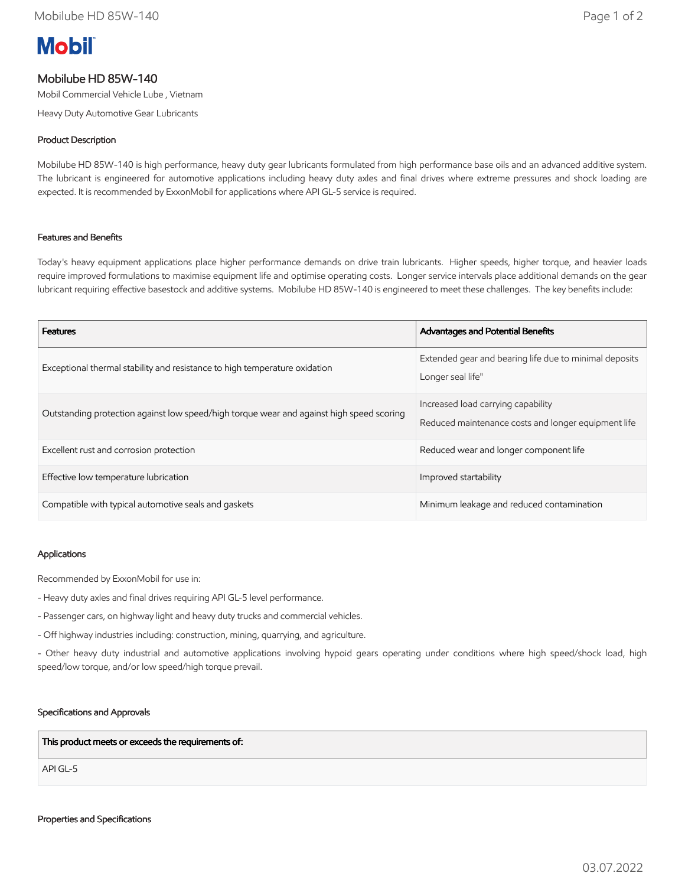# **Mobil**

## Mobilube HD 85W-140

Mobil Commercial Vehicle Lube , Vietnam

Heavy Duty Automotive Gear Lubricants

### Product Description

Mobilube HD 85W-140 is high performance, heavy duty gear lubricants formulated from high performance base oils and an advanced additive system. The lubricant is engineered for automotive applications including heavy duty axles and final drives where extreme pressures and shock loading are expected. It is recommended by ExxonMobil for applications where API GL-5 service is required.

#### Features and Benefits

Today's heavy equipment applications place higher performance demands on drive train lubricants. Higher speeds, higher torque, and heavier loads require improved formulations to maximise equipment life and optimise operating costs. Longer service intervals place additional demands on the gear lubricant requiring effective basestock and additive systems. Mobilube HD 85W-140 is engineered to meet these challenges. The key benefits include:

| <b>Features</b>                                                                          | <b>Advantages and Potential Benefits</b>                                                  |
|------------------------------------------------------------------------------------------|-------------------------------------------------------------------------------------------|
| Exceptional thermal stability and resistance to high temperature oxidation               | Extended gear and bearing life due to minimal deposits<br>Longer seal life"               |
| Outstanding protection against low speed/high torque wear and against high speed scoring | Increased load carrying capability<br>Reduced maintenance costs and longer equipment life |
| Excellent rust and corrosion protection                                                  | Reduced wear and longer component life                                                    |
| Effective low temperature lubrication                                                    | Improved startability                                                                     |
| Compatible with typical automotive seals and gaskets                                     | Minimum leakage and reduced contamination                                                 |

#### Applications

Recommended by ExxonMobil for use in:

- Heavy duty axles and final drives requiring API GL-5 level performance.
- Passenger cars, on highway light and heavy duty trucks and commercial vehicles.
- Off highway industries including: construction, mining, quarrying, and agriculture.

- Other heavy duty industrial and automotive applications involving hypoid gears operating under conditions where high speed/shock load, high speed/low torque, and/or low speed/high torque prevail.

#### Specifications and Approvals

This product meets or exceeds the requirements of:

API GL-5